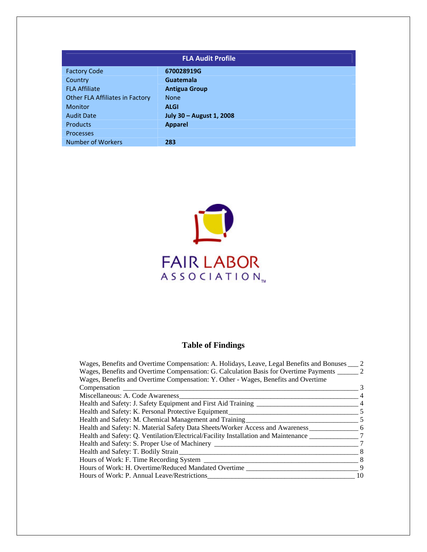| <b>FLA Audit Profile</b>        |                          |  |  |
|---------------------------------|--------------------------|--|--|
| <b>Factory Code</b>             | 670028919G               |  |  |
| Country                         | <b>Guatemala</b>         |  |  |
| <b>FLA Affiliate</b>            | <b>Antigua Group</b>     |  |  |
| Other FLA Affiliates in Factory | <b>None</b>              |  |  |
| <b>Monitor</b>                  | <b>ALGI</b>              |  |  |
| <b>Audit Date</b>               | July 30 - August 1, 2008 |  |  |
| <b>Products</b>                 | <b>Apparel</b>           |  |  |
| <b>Processes</b>                |                          |  |  |
| <b>Number of Workers</b>        | 283                      |  |  |



# **Table of Findings**

| Wages, Benefits and Overtime Compensation: A. Holidays, Leave, Legal Benefits and Bonuses | 2  |
|-------------------------------------------------------------------------------------------|----|
| Wages, Benefits and Overtime Compensation: G. Calculation Basis for Overtime Payments     | 2  |
| Wages, Benefits and Overtime Compensation: Y. Other - Wages, Benefits and Overtime        |    |
| Compensation                                                                              | 3  |
| Miscellaneous: A. Code Awareness                                                          |    |
| Health and Safety: J. Safety Equipment and First Aid Training                             |    |
| Health and Safety: K. Personal Protective Equipment                                       | 5  |
| Health and Safety: M. Chemical Management and Training                                    | 5  |
| Health and Safety: N. Material Safety Data Sheets/Worker Access and Awareness             | 6  |
| Health and Safety: Q. Ventilation/Electrical/Facility Installation and Maintenance        |    |
| Health and Safety: S. Proper Use of Machinery                                             |    |
| Health and Safety: T. Bodily Strain                                                       | 8  |
| Hours of Work: F. Time Recording System __                                                | 8  |
| Hours of Work: H. Overtime/Reduced Mandated Overtime                                      | 9  |
| Hours of Work: P. Annual Leave/Restrictions                                               | 10 |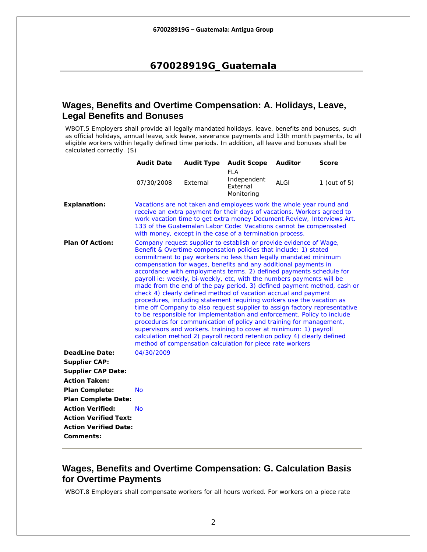## <span id="page-1-0"></span>**Wages, Benefits and Overtime Compensation: A. Holidays, Leave, Legal Benefits and Bonuses**

WBOT.5 Employers shall provide all legally mandated holidays, leave, benefits and bonuses, such as official holidays, annual leave, sick leave, severance payments and 13th month payments, to all eligible workers within legally defined time periods. In addition, all leave and bonuses shall be calculated correctly. (S)

|                                                       | <b>Audit Date</b>                                                                                                                                                                                                                                                                                                                                                                                                                                                                                                                                                                                                                                                                                                                                                                                                                                                                                                                                                                                                                                                                                 | <b>Audit Type</b>                                                                                                                                                                                                                                                                                                                                         | <b>Audit Scope</b>                           | <b>Auditor</b> | Score           |  |  |  |
|-------------------------------------------------------|---------------------------------------------------------------------------------------------------------------------------------------------------------------------------------------------------------------------------------------------------------------------------------------------------------------------------------------------------------------------------------------------------------------------------------------------------------------------------------------------------------------------------------------------------------------------------------------------------------------------------------------------------------------------------------------------------------------------------------------------------------------------------------------------------------------------------------------------------------------------------------------------------------------------------------------------------------------------------------------------------------------------------------------------------------------------------------------------------|-----------------------------------------------------------------------------------------------------------------------------------------------------------------------------------------------------------------------------------------------------------------------------------------------------------------------------------------------------------|----------------------------------------------|----------------|-----------------|--|--|--|
|                                                       | 07/30/2008                                                                                                                                                                                                                                                                                                                                                                                                                                                                                                                                                                                                                                                                                                                                                                                                                                                                                                                                                                                                                                                                                        | External                                                                                                                                                                                                                                                                                                                                                  | FLA<br>Independent<br>External<br>Monitoring | ALGI           | 1 (out of $5$ ) |  |  |  |
| <b>Explanation:</b>                                   |                                                                                                                                                                                                                                                                                                                                                                                                                                                                                                                                                                                                                                                                                                                                                                                                                                                                                                                                                                                                                                                                                                   | Vacations are not taken and employees work the whole year round and<br>receive an extra payment for their days of vacations. Workers agreed to<br>work vacation time to get extra money Document Review, Interviews Art.<br>133 of the Guatemalan Labor Code: Vacations cannot be compensated<br>with money, except in the case of a termination process. |                                              |                |                 |  |  |  |
| <b>Plan Of Action:</b>                                | Company request supplier to establish or provide evidence of Wage,<br>Benefit & Overtime compensation policies that include: 1) stated<br>commitment to pay workers no less than legally mandated minimum<br>compensation for wages, benefits and any additional payments in<br>accordance with employments terms. 2) defined payments schedule for<br>payroll ie: weekly, bi-weekly, etc, with the numbers payments will be<br>made from the end of the pay period. 3) defined payment method, cash or<br>check 4) clearly defined method of vacation accrual and payment<br>procedures, including statement requiring workers use the vacation as<br>time off Company to also request supplier to assign factory representative<br>to be responsible for implementation and enforcement. Policy to include<br>procedures for communication of policy and training for management,<br>supervisors and workers. training to cover at minimum: 1) payroll<br>calculation method 2) payroll record retention policy 4) clearly defined<br>method of compensation calculation for piece rate workers |                                                                                                                                                                                                                                                                                                                                                           |                                              |                |                 |  |  |  |
| <b>DeadLine Date:</b>                                 | 04/30/2009                                                                                                                                                                                                                                                                                                                                                                                                                                                                                                                                                                                                                                                                                                                                                                                                                                                                                                                                                                                                                                                                                        |                                                                                                                                                                                                                                                                                                                                                           |                                              |                |                 |  |  |  |
| <b>Supplier CAP:</b>                                  |                                                                                                                                                                                                                                                                                                                                                                                                                                                                                                                                                                                                                                                                                                                                                                                                                                                                                                                                                                                                                                                                                                   |                                                                                                                                                                                                                                                                                                                                                           |                                              |                |                 |  |  |  |
| <b>Supplier CAP Date:</b>                             |                                                                                                                                                                                                                                                                                                                                                                                                                                                                                                                                                                                                                                                                                                                                                                                                                                                                                                                                                                                                                                                                                                   |                                                                                                                                                                                                                                                                                                                                                           |                                              |                |                 |  |  |  |
| <b>Action Taken:</b>                                  |                                                                                                                                                                                                                                                                                                                                                                                                                                                                                                                                                                                                                                                                                                                                                                                                                                                                                                                                                                                                                                                                                                   |                                                                                                                                                                                                                                                                                                                                                           |                                              |                |                 |  |  |  |
| <b>Plan Complete:</b>                                 | <b>No</b>                                                                                                                                                                                                                                                                                                                                                                                                                                                                                                                                                                                                                                                                                                                                                                                                                                                                                                                                                                                                                                                                                         |                                                                                                                                                                                                                                                                                                                                                           |                                              |                |                 |  |  |  |
| <b>Plan Complete Date:</b><br><b>Action Verified:</b> | <b>No</b>                                                                                                                                                                                                                                                                                                                                                                                                                                                                                                                                                                                                                                                                                                                                                                                                                                                                                                                                                                                                                                                                                         |                                                                                                                                                                                                                                                                                                                                                           |                                              |                |                 |  |  |  |
| <b>Action Verified Text:</b>                          |                                                                                                                                                                                                                                                                                                                                                                                                                                                                                                                                                                                                                                                                                                                                                                                                                                                                                                                                                                                                                                                                                                   |                                                                                                                                                                                                                                                                                                                                                           |                                              |                |                 |  |  |  |
| <b>Action Verified Date:</b>                          |                                                                                                                                                                                                                                                                                                                                                                                                                                                                                                                                                                                                                                                                                                                                                                                                                                                                                                                                                                                                                                                                                                   |                                                                                                                                                                                                                                                                                                                                                           |                                              |                |                 |  |  |  |
| Comments:                                             |                                                                                                                                                                                                                                                                                                                                                                                                                                                                                                                                                                                                                                                                                                                                                                                                                                                                                                                                                                                                                                                                                                   |                                                                                                                                                                                                                                                                                                                                                           |                                              |                |                 |  |  |  |
|                                                       |                                                                                                                                                                                                                                                                                                                                                                                                                                                                                                                                                                                                                                                                                                                                                                                                                                                                                                                                                                                                                                                                                                   |                                                                                                                                                                                                                                                                                                                                                           |                                              |                |                 |  |  |  |

## **Wages, Benefits and Overtime Compensation: G. Calculation Basis for Overtime Payments**

WBOT.8 Employers shall compensate workers for all hours worked. For workers on a piece rate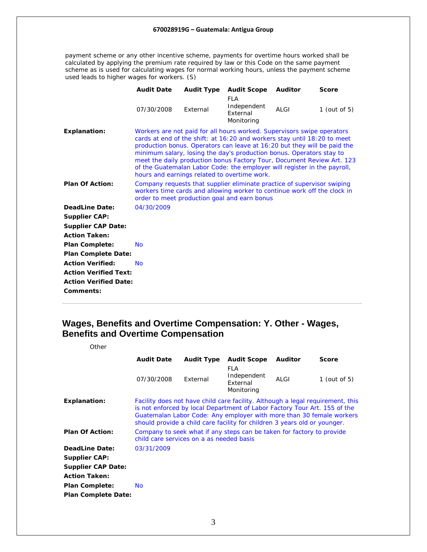<span id="page-2-0"></span>payment scheme or any other incentive scheme, payments for overtime hours worked shall be calculated by applying the premium rate required by law or this Code on the same payment scheme as is used for calculating wages for normal working hours, unless the payment scheme used leads to higher wages for workers. (S)

|                              | <b>Audit Date</b>                                                                                                                                                                                                                                                                                                                                                                                                                                                                                            | <b>Audit Type</b> | <b>Audit Scope</b>                                  | <b>Auditor</b> | <b>Score</b>    |  |
|------------------------------|--------------------------------------------------------------------------------------------------------------------------------------------------------------------------------------------------------------------------------------------------------------------------------------------------------------------------------------------------------------------------------------------------------------------------------------------------------------------------------------------------------------|-------------------|-----------------------------------------------------|----------------|-----------------|--|
|                              | 07/30/2008                                                                                                                                                                                                                                                                                                                                                                                                                                                                                                   | External          | <b>FLA</b><br>Independent<br>External<br>Monitoring | <b>ALGI</b>    | 1 (out of $5$ ) |  |
| <b>Explanation:</b>          | Workers are not paid for all hours worked. Supervisors swipe operators<br>cards at end of the shift: at 16:20 and workers stay until 18:20 to meet<br>production bonus. Operators can leave at 16:20 but they will be paid the<br>minimum salary, losing the day's production bonus. Operators stay to<br>meet the daily production bonus Factory Tour, Document Review Art. 123<br>of the Guatemalan Labor Code: the employer will register in the payroll,<br>hours and earnings related to overtime work. |                   |                                                     |                |                 |  |
| <b>Plan Of Action:</b>       | Company requests that supplier eliminate practice of supervisor swiping<br>workers time cards and allowing worker to continue work off the clock in<br>order to meet production goal and earn bonus                                                                                                                                                                                                                                                                                                          |                   |                                                     |                |                 |  |
| <b>DeadLine Date:</b>        | 04/30/2009                                                                                                                                                                                                                                                                                                                                                                                                                                                                                                   |                   |                                                     |                |                 |  |
| <b>Supplier CAP:</b>         |                                                                                                                                                                                                                                                                                                                                                                                                                                                                                                              |                   |                                                     |                |                 |  |
| <b>Supplier CAP Date:</b>    |                                                                                                                                                                                                                                                                                                                                                                                                                                                                                                              |                   |                                                     |                |                 |  |
| <b>Action Taken:</b>         |                                                                                                                                                                                                                                                                                                                                                                                                                                                                                                              |                   |                                                     |                |                 |  |
| <b>Plan Complete:</b>        | <b>No</b>                                                                                                                                                                                                                                                                                                                                                                                                                                                                                                    |                   |                                                     |                |                 |  |
| <b>Plan Complete Date:</b>   |                                                                                                                                                                                                                                                                                                                                                                                                                                                                                                              |                   |                                                     |                |                 |  |
| <b>Action Verified:</b>      | <b>No</b>                                                                                                                                                                                                                                                                                                                                                                                                                                                                                                    |                   |                                                     |                |                 |  |
| <b>Action Verified Text:</b> |                                                                                                                                                                                                                                                                                                                                                                                                                                                                                                              |                   |                                                     |                |                 |  |
| <b>Action Verified Date:</b> |                                                                                                                                                                                                                                                                                                                                                                                                                                                                                                              |                   |                                                     |                |                 |  |
| Comments:                    |                                                                                                                                                                                                                                                                                                                                                                                                                                                                                                              |                   |                                                     |                |                 |  |
|                              |                                                                                                                                                                                                                                                                                                                                                                                                                                                                                                              |                   |                                                     |                |                 |  |

# **Wages, Benefits and Overtime Compensation: Y. Other - Wages, Benefits and Overtime Compensation**

| Other                      |                                                                                                                                                                                                                                                                                                                  |                   |                                                     |                |                 |  |
|----------------------------|------------------------------------------------------------------------------------------------------------------------------------------------------------------------------------------------------------------------------------------------------------------------------------------------------------------|-------------------|-----------------------------------------------------|----------------|-----------------|--|
|                            | <b>Audit Date</b>                                                                                                                                                                                                                                                                                                | <b>Audit Type</b> | <b>Audit Scope</b>                                  | <b>Auditor</b> | <b>Score</b>    |  |
|                            | 07/30/2008                                                                                                                                                                                                                                                                                                       | External          | <b>FLA</b><br>Independent<br>External<br>Monitoring | ALGI           | 1 (out of $5$ ) |  |
| <b>Explanation:</b>        | Facility does not have child care facility. Although a legal requirement, this<br>is not enforced by local Department of Labor Factory Tour Art. 155 of the<br>Guatemalan Labor Code: Any employer with more than 30 female workers<br>should provide a child care facility for children 3 years old or younger. |                   |                                                     |                |                 |  |
| <b>Plan Of Action:</b>     | Company to seek what if any steps can be taken for factory to provide<br>child care services on a as needed basis                                                                                                                                                                                                |                   |                                                     |                |                 |  |
| <b>DeadLine Date:</b>      | 03/31/2009                                                                                                                                                                                                                                                                                                       |                   |                                                     |                |                 |  |
| <b>Supplier CAP:</b>       |                                                                                                                                                                                                                                                                                                                  |                   |                                                     |                |                 |  |
| <b>Supplier CAP Date:</b>  |                                                                                                                                                                                                                                                                                                                  |                   |                                                     |                |                 |  |
| <b>Action Taken:</b>       |                                                                                                                                                                                                                                                                                                                  |                   |                                                     |                |                 |  |
| <b>Plan Complete:</b>      | N <sub>O</sub>                                                                                                                                                                                                                                                                                                   |                   |                                                     |                |                 |  |
| <b>Plan Complete Date:</b> |                                                                                                                                                                                                                                                                                                                  |                   |                                                     |                |                 |  |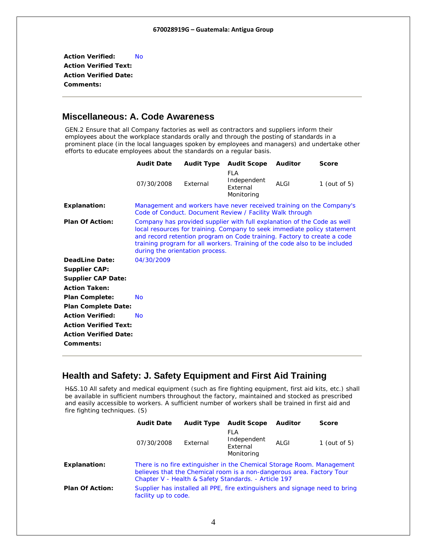<span id="page-3-0"></span>**Action Verified:** No **Action Verified Text: Action Verified Date: Comments:** 

### **Miscellaneous: A. Code Awareness**

GEN.2 Ensure that all Company factories as well as contractors and suppliers inform their employees about the workplace standards orally and through the posting of standards in a prominent place (in the local languages spoken by employees and managers) and undertake other efforts to educate employees about the standards on a regular basis.

|                              | <b>Audit Date</b>                                                                                                                                                                                                                                                                                                                               | Audit Type | <b>Audit Scope</b>                                                                                                               | <b>Auditor</b> | <b>Score</b>    |  |
|------------------------------|-------------------------------------------------------------------------------------------------------------------------------------------------------------------------------------------------------------------------------------------------------------------------------------------------------------------------------------------------|------------|----------------------------------------------------------------------------------------------------------------------------------|----------------|-----------------|--|
|                              | 07/30/2008                                                                                                                                                                                                                                                                                                                                      | External   | <b>FLA</b><br>Independent<br>External<br>Monitoring                                                                              | ALGI           | 1 (out of $5$ ) |  |
| <b>Explanation:</b>          |                                                                                                                                                                                                                                                                                                                                                 |            | Management and workers have never received training on the Company's<br>Code of Conduct. Document Review / Facility Walk through |                |                 |  |
| <b>Plan Of Action:</b>       | Company has provided supplier with full explanation of the Code as well<br>local resources for training. Company to seek immediate policy statement<br>and record retention program on Code training. Factory to create a code<br>training program for all workers. Training of the code also to be included<br>during the orientation process. |            |                                                                                                                                  |                |                 |  |
| <b>DeadLine Date:</b>        | 04/30/2009                                                                                                                                                                                                                                                                                                                                      |            |                                                                                                                                  |                |                 |  |
| <b>Supplier CAP:</b>         |                                                                                                                                                                                                                                                                                                                                                 |            |                                                                                                                                  |                |                 |  |
| <b>Supplier CAP Date:</b>    |                                                                                                                                                                                                                                                                                                                                                 |            |                                                                                                                                  |                |                 |  |
| <b>Action Taken:</b>         |                                                                                                                                                                                                                                                                                                                                                 |            |                                                                                                                                  |                |                 |  |
| <b>Plan Complete:</b>        | <b>No</b>                                                                                                                                                                                                                                                                                                                                       |            |                                                                                                                                  |                |                 |  |
| <b>Plan Complete Date:</b>   |                                                                                                                                                                                                                                                                                                                                                 |            |                                                                                                                                  |                |                 |  |
| <b>Action Verified:</b>      | <b>No</b>                                                                                                                                                                                                                                                                                                                                       |            |                                                                                                                                  |                |                 |  |
| <b>Action Verified Text:</b> |                                                                                                                                                                                                                                                                                                                                                 |            |                                                                                                                                  |                |                 |  |
| <b>Action Verified Date:</b> |                                                                                                                                                                                                                                                                                                                                                 |            |                                                                                                                                  |                |                 |  |
| Comments:                    |                                                                                                                                                                                                                                                                                                                                                 |            |                                                                                                                                  |                |                 |  |

## **Health and Safety: J. Safety Equipment and First Aid Training**

H&S.10 All safety and medical equipment (such as fire fighting equipment, first aid kits, etc.) shall be available in sufficient numbers throughout the factory, maintained and stocked as prescribed and easily accessible to workers. A sufficient number of workers shall be trained in first aid and fire fighting techniques. (S)

|                        | <b>Audit Date</b>                                                                                                                                                                                       | <b>Audit Type</b> | <b>Audit Scope</b>                                                           | <b>Auditor</b> | <b>Score</b>    |  |
|------------------------|---------------------------------------------------------------------------------------------------------------------------------------------------------------------------------------------------------|-------------------|------------------------------------------------------------------------------|----------------|-----------------|--|
|                        | 07/30/2008                                                                                                                                                                                              | External          | FLA<br>Independent<br>External<br>Monitoring                                 | ALGI           | 1 (out of $5$ ) |  |
| <b>Explanation:</b>    | There is no fire extinguisher in the Chemical Storage Room. Management<br>believes that the Chemical room is a non-dangerous area. Factory Tour<br>Chapter V - Health & Safety Standards. - Article 197 |                   |                                                                              |                |                 |  |
| <b>Plan Of Action:</b> | facility up to code.                                                                                                                                                                                    |                   | Supplier has installed all PPE, fire extinguishers and signage need to bring |                |                 |  |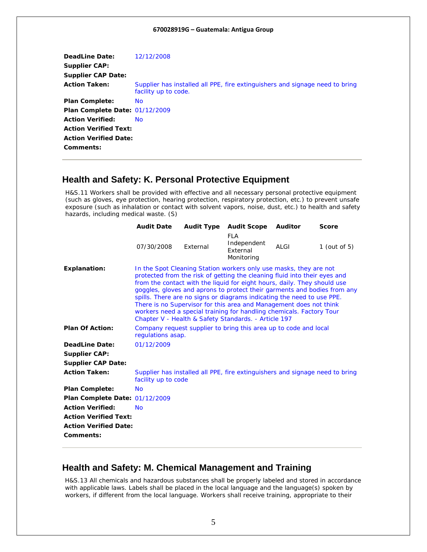<span id="page-4-0"></span>

| DeadLine Date:<br><b>Supplier CAP:</b><br><b>Supplier CAP Date:</b> | 12/12/2008                                                                                           |
|---------------------------------------------------------------------|------------------------------------------------------------------------------------------------------|
| <b>Action Taken:</b>                                                | Supplier has installed all PPE, fire extinguishers and signage need to bring<br>facility up to code. |
| <b>Plan Complete:</b>                                               | <b>No</b>                                                                                            |
| Plan Complete Date: 01/12/2009                                      |                                                                                                      |
| <b>Action Verified:</b>                                             | No.                                                                                                  |
| <b>Action Verified Text:</b>                                        |                                                                                                      |
| <b>Action Verified Date:</b><br>Comments:                           |                                                                                                      |

### **Health and Safety: K. Personal Protective Equipment**

H&S.11 Workers shall be provided with effective and all necessary personal protective equipment (such as gloves, eye protection, hearing protection, respiratory protection, etc.) to prevent unsafe exposure (such as inhalation or contact with solvent vapors, noise, dust, etc.) to health and safety hazards, including medical waste. (S)

|                                | <b>Audit Date</b>                                                                                                                                                                                                                                                                                                                                                                                                                                                                                                                                                                      | <b>Audit Type</b> | <b>Audit Scope</b>                                                           | <b>Auditor</b> | <b>Score</b>    |  |
|--------------------------------|----------------------------------------------------------------------------------------------------------------------------------------------------------------------------------------------------------------------------------------------------------------------------------------------------------------------------------------------------------------------------------------------------------------------------------------------------------------------------------------------------------------------------------------------------------------------------------------|-------------------|------------------------------------------------------------------------------|----------------|-----------------|--|
|                                | 07/30/2008                                                                                                                                                                                                                                                                                                                                                                                                                                                                                                                                                                             | External          | <b>FLA</b><br>Independent<br>External<br>Monitoring                          | ALGI           | 1 (out of $5$ ) |  |
| <b>Explanation:</b>            | In the Spot Cleaning Station workers only use masks, they are not<br>protected from the risk of getting the cleaning fluid into their eyes and<br>from the contact with the liquid for eight hours, daily. They should use<br>goggles, gloves and aprons to protect their garments and bodies from any<br>spills. There are no signs or diagrams indicating the need to use PPE.<br>There is no Supervisor for this area and Management does not think<br>workers need a special training for handling chemicals. Factory Tour<br>Chapter V - Health & Safety Standards. - Article 197 |                   |                                                                              |                |                 |  |
| <b>Plan Of Action:</b>         | Company request supplier to bring this area up to code and local<br>regulations asap.                                                                                                                                                                                                                                                                                                                                                                                                                                                                                                  |                   |                                                                              |                |                 |  |
| <b>DeadLine Date:</b>          | 01/12/2009                                                                                                                                                                                                                                                                                                                                                                                                                                                                                                                                                                             |                   |                                                                              |                |                 |  |
| <b>Supplier CAP:</b>           |                                                                                                                                                                                                                                                                                                                                                                                                                                                                                                                                                                                        |                   |                                                                              |                |                 |  |
| <b>Supplier CAP Date:</b>      |                                                                                                                                                                                                                                                                                                                                                                                                                                                                                                                                                                                        |                   |                                                                              |                |                 |  |
| <b>Action Taken:</b>           | facility up to code                                                                                                                                                                                                                                                                                                                                                                                                                                                                                                                                                                    |                   | Supplier has installed all PPE, fire extinguishers and signage need to bring |                |                 |  |
| <b>Plan Complete:</b>          | <b>No</b>                                                                                                                                                                                                                                                                                                                                                                                                                                                                                                                                                                              |                   |                                                                              |                |                 |  |
| Plan Complete Date: 01/12/2009 |                                                                                                                                                                                                                                                                                                                                                                                                                                                                                                                                                                                        |                   |                                                                              |                |                 |  |
| <b>Action Verified:</b>        | <b>No</b>                                                                                                                                                                                                                                                                                                                                                                                                                                                                                                                                                                              |                   |                                                                              |                |                 |  |
| <b>Action Verified Text:</b>   |                                                                                                                                                                                                                                                                                                                                                                                                                                                                                                                                                                                        |                   |                                                                              |                |                 |  |
| <b>Action Verified Date:</b>   |                                                                                                                                                                                                                                                                                                                                                                                                                                                                                                                                                                                        |                   |                                                                              |                |                 |  |
| Comments:                      |                                                                                                                                                                                                                                                                                                                                                                                                                                                                                                                                                                                        |                   |                                                                              |                |                 |  |
|                                |                                                                                                                                                                                                                                                                                                                                                                                                                                                                                                                                                                                        |                   |                                                                              |                |                 |  |

### **Health and Safety: M. Chemical Management and Training**

H&S.13 All chemicals and hazardous substances shall be properly labeled and stored in accordance with applicable laws. Labels shall be placed in the local language and the language(s) spoken by workers, if different from the local language. Workers shall receive training, appropriate to their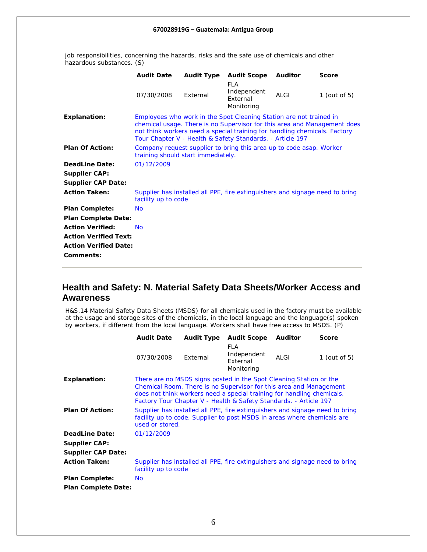| Independent<br>07/30/2008<br>External<br>ALGI<br>1 (out of $5$ )<br>External<br>Monitoring<br>Employees who work in the Spot Cleaning Station are not trained in<br><b>Explanation:</b><br>chemical usage. There is no Supervisor for this area and Management does<br>not think workers need a special training for handling chemicals. Factory<br>Tour Chapter V - Health & Safety Standards. - Article 197<br><b>Plan Of Action:</b><br>Company request supplier to bring this area up to code asap. Worker<br>training should start immediately.<br><b>DeadLine Date:</b><br>01/12/2009<br><b>Supplier CAP:</b><br><b>Supplier CAP Date:</b><br><b>Action Taken:</b><br>Supplier has installed all PPE, fire extinguishers and signage need to bring<br>facility up to code<br><b>Plan Complete:</b><br><b>No</b><br><b>Plan Complete Date:</b><br><b>Action Verified:</b><br><b>No</b><br><b>Action Verified Text:</b> |                              | <b>Audit Date</b> |  | <b>Audit Type</b> Audit Scope | Auditor | Score |  |  |  |
|-----------------------------------------------------------------------------------------------------------------------------------------------------------------------------------------------------------------------------------------------------------------------------------------------------------------------------------------------------------------------------------------------------------------------------------------------------------------------------------------------------------------------------------------------------------------------------------------------------------------------------------------------------------------------------------------------------------------------------------------------------------------------------------------------------------------------------------------------------------------------------------------------------------------------------|------------------------------|-------------------|--|-------------------------------|---------|-------|--|--|--|
|                                                                                                                                                                                                                                                                                                                                                                                                                                                                                                                                                                                                                                                                                                                                                                                                                                                                                                                             |                              |                   |  | <b>FLA</b>                    |         |       |  |  |  |
|                                                                                                                                                                                                                                                                                                                                                                                                                                                                                                                                                                                                                                                                                                                                                                                                                                                                                                                             |                              |                   |  |                               |         |       |  |  |  |
|                                                                                                                                                                                                                                                                                                                                                                                                                                                                                                                                                                                                                                                                                                                                                                                                                                                                                                                             |                              |                   |  |                               |         |       |  |  |  |
|                                                                                                                                                                                                                                                                                                                                                                                                                                                                                                                                                                                                                                                                                                                                                                                                                                                                                                                             |                              |                   |  |                               |         |       |  |  |  |
|                                                                                                                                                                                                                                                                                                                                                                                                                                                                                                                                                                                                                                                                                                                                                                                                                                                                                                                             |                              |                   |  |                               |         |       |  |  |  |
|                                                                                                                                                                                                                                                                                                                                                                                                                                                                                                                                                                                                                                                                                                                                                                                                                                                                                                                             |                              |                   |  |                               |         |       |  |  |  |
|                                                                                                                                                                                                                                                                                                                                                                                                                                                                                                                                                                                                                                                                                                                                                                                                                                                                                                                             |                              |                   |  |                               |         |       |  |  |  |
|                                                                                                                                                                                                                                                                                                                                                                                                                                                                                                                                                                                                                                                                                                                                                                                                                                                                                                                             |                              |                   |  |                               |         |       |  |  |  |
|                                                                                                                                                                                                                                                                                                                                                                                                                                                                                                                                                                                                                                                                                                                                                                                                                                                                                                                             |                              |                   |  |                               |         |       |  |  |  |
|                                                                                                                                                                                                                                                                                                                                                                                                                                                                                                                                                                                                                                                                                                                                                                                                                                                                                                                             |                              |                   |  |                               |         |       |  |  |  |
|                                                                                                                                                                                                                                                                                                                                                                                                                                                                                                                                                                                                                                                                                                                                                                                                                                                                                                                             |                              |                   |  |                               |         |       |  |  |  |
|                                                                                                                                                                                                                                                                                                                                                                                                                                                                                                                                                                                                                                                                                                                                                                                                                                                                                                                             | <b>Action Verified Date:</b> |                   |  |                               |         |       |  |  |  |
| Comments:                                                                                                                                                                                                                                                                                                                                                                                                                                                                                                                                                                                                                                                                                                                                                                                                                                                                                                                   |                              |                   |  |                               |         |       |  |  |  |

<span id="page-5-0"></span>job responsibilities, concerning the hazards, risks and the safe use of chemicals and other hazardous substances. (S)

### **Health and Safety: N. Material Safety Data Sheets/Worker Access and Awareness**

H&S.14 Material Safety Data Sheets (MSDS) for all chemicals used in the factory must be available at the usage and storage sites of the chemicals, in the local language and the language(s) spoken by workers, if different from the local language. Workers shall have free access to MSDS. (P)

|                            | <b>Audit Date</b>                                                                                                                                                                                                                                                                       | <b>Audit Type</b>                                                                                                                                       | <b>Audit Scope</b>                                  | <b>Auditor</b> | <b>Score</b>    |  |  |
|----------------------------|-----------------------------------------------------------------------------------------------------------------------------------------------------------------------------------------------------------------------------------------------------------------------------------------|---------------------------------------------------------------------------------------------------------------------------------------------------------|-----------------------------------------------------|----------------|-----------------|--|--|
|                            | 07/30/2008                                                                                                                                                                                                                                                                              | External                                                                                                                                                | <b>FLA</b><br>Independent<br>External<br>Monitoring | ALGI           | 1 (out of $5$ ) |  |  |
| <b>Explanation:</b>        | There are no MSDS signs posted in the Spot Cleaning Station or the<br>Chemical Room. There is no Supervisor for this area and Management<br>does not think workers need a special training for handling chemicals.<br>Factory Tour Chapter V - Health & Safety Standards. - Article 197 |                                                                                                                                                         |                                                     |                |                 |  |  |
| <b>Plan Of Action:</b>     | used or stored.                                                                                                                                                                                                                                                                         | Supplier has installed all PPE, fire extinguishers and signage need to bring<br>facility up to code. Supplier to post MSDS in areas where chemicals are |                                                     |                |                 |  |  |
| DeadLine Date:             | 01/12/2009                                                                                                                                                                                                                                                                              |                                                                                                                                                         |                                                     |                |                 |  |  |
| <b>Supplier CAP:</b>       |                                                                                                                                                                                                                                                                                         |                                                                                                                                                         |                                                     |                |                 |  |  |
| <b>Supplier CAP Date:</b>  |                                                                                                                                                                                                                                                                                         |                                                                                                                                                         |                                                     |                |                 |  |  |
| <b>Action Taken:</b>       | Supplier has installed all PPE, fire extinguishers and signage need to bring<br>facility up to code                                                                                                                                                                                     |                                                                                                                                                         |                                                     |                |                 |  |  |
| <b>Plan Complete:</b>      | <b>No</b>                                                                                                                                                                                                                                                                               |                                                                                                                                                         |                                                     |                |                 |  |  |
| <b>Plan Complete Date:</b> |                                                                                                                                                                                                                                                                                         |                                                                                                                                                         |                                                     |                |                 |  |  |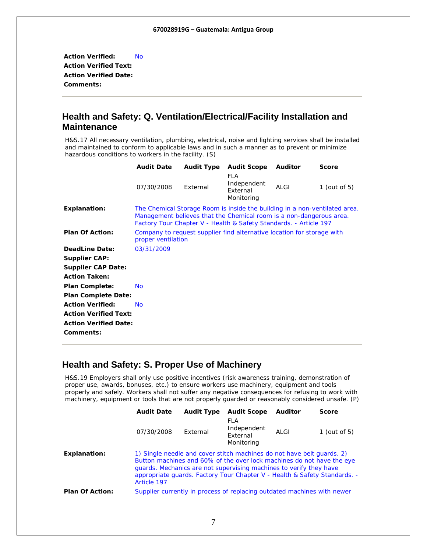<span id="page-6-0"></span>**Action Verified:** No **Action Verified Text: Action Verified Date: Comments:** 

## **Health and Safety: Q. Ventilation/Electrical/Facility Installation and Maintenance**

H&S.17 All necessary ventilation, plumbing, electrical, noise and lighting services shall be installed and maintained to conform to applicable laws and in such a manner as to prevent or minimize hazardous conditions to workers in the facility. (S)

|                              | <b>Audit Date</b> | <b>Audit Type</b>                                                                            | <b>Audit Scope</b>                                                                                                                                                                                                     | <b>Auditor</b> | <b>Score</b> |  |  |
|------------------------------|-------------------|----------------------------------------------------------------------------------------------|------------------------------------------------------------------------------------------------------------------------------------------------------------------------------------------------------------------------|----------------|--------------|--|--|
|                              | 07/30/2008        | External                                                                                     | FLA<br>Independent<br>External<br>Monitoring                                                                                                                                                                           | ALGI           | 1 (out of 5) |  |  |
| <b>Explanation:</b>          |                   |                                                                                              | The Chemical Storage Room is inside the building in a non-ventilated area.<br>Management believes that the Chemical room is a non-dangerous area.<br>Factory Tour Chapter V - Health & Safety Standards. - Article 197 |                |              |  |  |
| <b>Plan Of Action:</b>       |                   | Company to request supplier find alternative location for storage with<br>proper ventilation |                                                                                                                                                                                                                        |                |              |  |  |
| DeadLine Date:               | 03/31/2009        |                                                                                              |                                                                                                                                                                                                                        |                |              |  |  |
| <b>Supplier CAP:</b>         |                   |                                                                                              |                                                                                                                                                                                                                        |                |              |  |  |
| <b>Supplier CAP Date:</b>    |                   |                                                                                              |                                                                                                                                                                                                                        |                |              |  |  |
| <b>Action Taken:</b>         |                   |                                                                                              |                                                                                                                                                                                                                        |                |              |  |  |
| <b>Plan Complete:</b>        | <b>No</b>         |                                                                                              |                                                                                                                                                                                                                        |                |              |  |  |
| <b>Plan Complete Date:</b>   |                   |                                                                                              |                                                                                                                                                                                                                        |                |              |  |  |
| <b>Action Verified:</b>      | <b>No</b>         |                                                                                              |                                                                                                                                                                                                                        |                |              |  |  |
| <b>Action Verified Text:</b> |                   |                                                                                              |                                                                                                                                                                                                                        |                |              |  |  |
| <b>Action Verified Date:</b> |                   |                                                                                              |                                                                                                                                                                                                                        |                |              |  |  |
| Comments:                    |                   |                                                                                              |                                                                                                                                                                                                                        |                |              |  |  |

## **Health and Safety: S. Proper Use of Machinery**

H&S.19 Employers shall only use positive incentives (risk awareness training, demonstration of proper use, awards, bonuses, etc.) to ensure workers use machinery, equipment and tools properly and safely. Workers shall not suffer any negative consequences for refusing to work with machinery, equipment or tools that are not properly guarded or reasonably considered unsafe. (P)

|                        | <b>Audit Date</b>                                                                                                                                                                                                                                                                                                 | <b>Audit Type</b> | <b>Audit Scope</b>                                                      | <b>Auditor</b> | <b>Score</b>    |
|------------------------|-------------------------------------------------------------------------------------------------------------------------------------------------------------------------------------------------------------------------------------------------------------------------------------------------------------------|-------------------|-------------------------------------------------------------------------|----------------|-----------------|
|                        | 07/30/2008                                                                                                                                                                                                                                                                                                        | External          | FLA<br>Independent<br>External<br>Monitoring                            | ALGI           | 1 (out of $5$ ) |
| Explanation:           | 1) Single needle and cover stitch machines do not have belt quards. 2)<br>Button machines and 60% of the over lock machines do not have the eye<br>quards. Mechanics are not supervising machines to verify they have<br>appropriate quards. Factory Tour Chapter V - Health & Safety Standards. -<br>Article 197 |                   |                                                                         |                |                 |
| <b>Plan Of Action:</b> |                                                                                                                                                                                                                                                                                                                   |                   | Supplier currently in process of replacing outdated machines with newer |                |                 |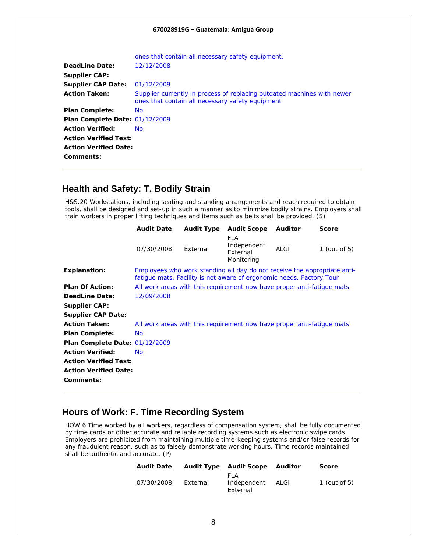<span id="page-7-0"></span>

|                                | ones that contain all necessary safety equipment.                                                                           |
|--------------------------------|-----------------------------------------------------------------------------------------------------------------------------|
| DeadLine Date:                 | 12/12/2008                                                                                                                  |
| <b>Supplier CAP:</b>           |                                                                                                                             |
| <b>Supplier CAP Date:</b>      | 01/12/2009                                                                                                                  |
| <b>Action Taken:</b>           | Supplier currently in process of replacing outdated machines with newer<br>ones that contain all necessary safety equipment |
| <b>Plan Complete:</b>          | No.                                                                                                                         |
| Plan Complete Date: 01/12/2009 |                                                                                                                             |
| <b>Action Verified:</b>        | No.                                                                                                                         |
| <b>Action Verified Text:</b>   |                                                                                                                             |
| <b>Action Verified Date:</b>   |                                                                                                                             |
| Comments:                      |                                                                                                                             |

### **Health and Safety: T. Bodily Strain**

H&S.20 Workstations, including seating and standing arrangements and reach required to obtain tools, shall be designed and set-up in such a manner as to minimize bodily strains. Employers shall train workers in proper lifting techniques and items such as belts shall be provided. (S)

|                                | <b>Audit Date</b>                                                      | <b>Audit Type</b> | <b>Audit Scope</b>                                                                                                                               | Auditor | <b>Score</b>    |  |
|--------------------------------|------------------------------------------------------------------------|-------------------|--------------------------------------------------------------------------------------------------------------------------------------------------|---------|-----------------|--|
|                                | 07/30/2008                                                             | External          | FLA<br>Independent<br>External<br>Monitoring                                                                                                     | ALGI    | 1 (out of $5$ ) |  |
| <b>Explanation:</b>            |                                                                        |                   | Employees who work standing all day do not receive the appropriate anti-<br>fatique mats. Facility is not aware of ergonomic needs. Factory Tour |         |                 |  |
| <b>Plan Of Action:</b>         |                                                                        |                   | All work areas with this requirement now have proper anti-fatique mats                                                                           |         |                 |  |
| <b>DeadLine Date:</b>          | 12/09/2008                                                             |                   |                                                                                                                                                  |         |                 |  |
| <b>Supplier CAP:</b>           |                                                                        |                   |                                                                                                                                                  |         |                 |  |
| <b>Supplier CAP Date:</b>      |                                                                        |                   |                                                                                                                                                  |         |                 |  |
| <b>Action Taken:</b>           | All work areas with this requirement now have proper anti-fatique mats |                   |                                                                                                                                                  |         |                 |  |
| <b>Plan Complete:</b>          | No.                                                                    |                   |                                                                                                                                                  |         |                 |  |
| Plan Complete Date: 01/12/2009 |                                                                        |                   |                                                                                                                                                  |         |                 |  |
| <b>Action Verified:</b>        | No.                                                                    |                   |                                                                                                                                                  |         |                 |  |
| <b>Action Verified Text:</b>   |                                                                        |                   |                                                                                                                                                  |         |                 |  |
| <b>Action Verified Date:</b>   |                                                                        |                   |                                                                                                                                                  |         |                 |  |
| Comments:                      |                                                                        |                   |                                                                                                                                                  |         |                 |  |
|                                |                                                                        |                   |                                                                                                                                                  |         |                 |  |

## **Hours of Work: F. Time Recording System**

HOW.6 Time worked by all workers, regardless of compensation system, shall be fully documented by time cards or other accurate and reliable recording systems such as electronic swipe cards. Employers are prohibited from maintaining multiple time-keeping systems and/or false records for any fraudulent reason, such as to falsely demonstrate working hours. Time records maintained shall be authentic and accurate. (P)

| <b>Audit Date</b> |          | <b>Audit Type Audit Scope Auditor</b> |      | <b>Score</b>   |
|-------------------|----------|---------------------------------------|------|----------------|
| 07/30/2008        | External | FI A<br>Independent<br>External       | ALGI | $1$ (out of 5) |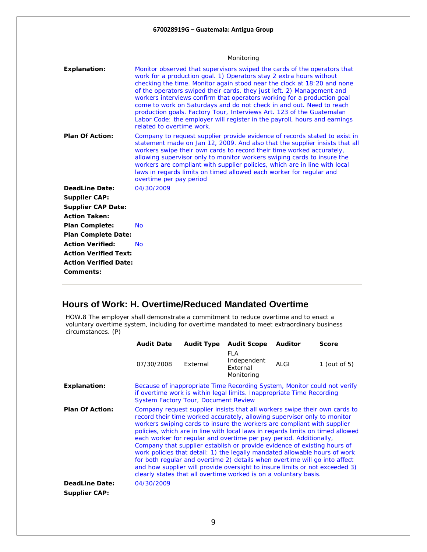<span id="page-8-0"></span>

|                              | Monitoring                                                                                                                                                                                                                                                                                                                                                                                                                                                                                                                                                                                                                                 |  |  |  |  |
|------------------------------|--------------------------------------------------------------------------------------------------------------------------------------------------------------------------------------------------------------------------------------------------------------------------------------------------------------------------------------------------------------------------------------------------------------------------------------------------------------------------------------------------------------------------------------------------------------------------------------------------------------------------------------------|--|--|--|--|
| <b>Explanation:</b>          | Monitor observed that supervisors swiped the cards of the operators that<br>work for a production goal. 1) Operators stay 2 extra hours without<br>checking the time. Monitor again stood near the clock at 18:20 and none<br>of the operators swiped their cards, they just left. 2) Management and<br>workers interviews confirm that operators working for a production goal<br>come to work on Saturdays and do not check in and out. Need to reach<br>production goals. Factory Tour, Interviews Art. 123 of the Guatemalan<br>Labor Code: the employer will register in the payroll, hours and earnings<br>related to overtime work. |  |  |  |  |
| <b>Plan Of Action:</b>       | Company to request supplier provide evidence of records stated to exist in<br>statement made on Jan 12, 2009. And also that the supplier insists that all<br>workers swipe their own cards to record their time worked accurately,<br>allowing supervisor only to monitor workers swiping cards to insure the<br>workers are compliant with supplier policies, which are in line with local<br>laws in regards limits on timed allowed each worker for regular and<br>overtime per pay period                                                                                                                                              |  |  |  |  |
| DeadLine Date:               | 04/30/2009                                                                                                                                                                                                                                                                                                                                                                                                                                                                                                                                                                                                                                 |  |  |  |  |
| <b>Supplier CAP:</b>         |                                                                                                                                                                                                                                                                                                                                                                                                                                                                                                                                                                                                                                            |  |  |  |  |
| <b>Supplier CAP Date:</b>    |                                                                                                                                                                                                                                                                                                                                                                                                                                                                                                                                                                                                                                            |  |  |  |  |
| <b>Action Taken:</b>         |                                                                                                                                                                                                                                                                                                                                                                                                                                                                                                                                                                                                                                            |  |  |  |  |
| <b>Plan Complete:</b>        | <b>No</b>                                                                                                                                                                                                                                                                                                                                                                                                                                                                                                                                                                                                                                  |  |  |  |  |
| <b>Plan Complete Date:</b>   |                                                                                                                                                                                                                                                                                                                                                                                                                                                                                                                                                                                                                                            |  |  |  |  |
| <b>Action Verified:</b>      | No                                                                                                                                                                                                                                                                                                                                                                                                                                                                                                                                                                                                                                         |  |  |  |  |
| <b>Action Verified Text:</b> |                                                                                                                                                                                                                                                                                                                                                                                                                                                                                                                                                                                                                                            |  |  |  |  |
| <b>Action Verified Date:</b> |                                                                                                                                                                                                                                                                                                                                                                                                                                                                                                                                                                                                                                            |  |  |  |  |
| Comments:                    |                                                                                                                                                                                                                                                                                                                                                                                                                                                                                                                                                                                                                                            |  |  |  |  |

## **Hours of Work: H. Overtime/Reduced Mandated Overtime**

HOW.8 The employer shall demonstrate a commitment to reduce overtime and to enact a voluntary overtime system, including for overtime mandated to meet extraordinary business circumstances. (P)

|                                               | <b>Audit Date</b>                                                                                                                                                                                                                                                                                                                                                                                                                                                                                                                                                                                                                                                                                                                                                                    | <b>Audit Type</b> | <b>Audit Scope</b>                                  | <b>Auditor</b> | Score           |
|-----------------------------------------------|--------------------------------------------------------------------------------------------------------------------------------------------------------------------------------------------------------------------------------------------------------------------------------------------------------------------------------------------------------------------------------------------------------------------------------------------------------------------------------------------------------------------------------------------------------------------------------------------------------------------------------------------------------------------------------------------------------------------------------------------------------------------------------------|-------------------|-----------------------------------------------------|----------------|-----------------|
|                                               | 07/30/2008                                                                                                                                                                                                                                                                                                                                                                                                                                                                                                                                                                                                                                                                                                                                                                           | External          | <b>FLA</b><br>Independent<br>External<br>Monitoring | ALGI           | 1 (out of $5$ ) |
| <b>Explanation:</b>                           | Because of inappropriate Time Recording System, Monitor could not verify<br>if overtime work is within legal limits. Inappropriate Time Recording<br><b>System Factory Tour, Document Review</b>                                                                                                                                                                                                                                                                                                                                                                                                                                                                                                                                                                                     |                   |                                                     |                |                 |
| <b>Plan Of Action:</b>                        | Company request supplier insists that all workers swipe their own cards to<br>record their time worked accurately, allowing supervisor only to monitor<br>workers swiping cards to insure the workers are compliant with supplier<br>policies, which are in line with local laws in regards limits on timed allowed<br>each worker for regular and overtime per pay period. Additionally,<br>Company that supplier establish or provide evidence of existing hours of<br>work policies that detail: 1) the legally mandated allowable hours of work<br>for both regular and overtime 2) details when overtime will go into affect<br>and how supplier will provide oversight to insure limits or not exceeded 3)<br>clearly states that all overtime worked is on a voluntary basis. |                   |                                                     |                |                 |
| <b>DeadLine Date:</b><br><b>Supplier CAP:</b> | 04/30/2009                                                                                                                                                                                                                                                                                                                                                                                                                                                                                                                                                                                                                                                                                                                                                                           |                   |                                                     |                |                 |
|                                               |                                                                                                                                                                                                                                                                                                                                                                                                                                                                                                                                                                                                                                                                                                                                                                                      |                   |                                                     |                |                 |